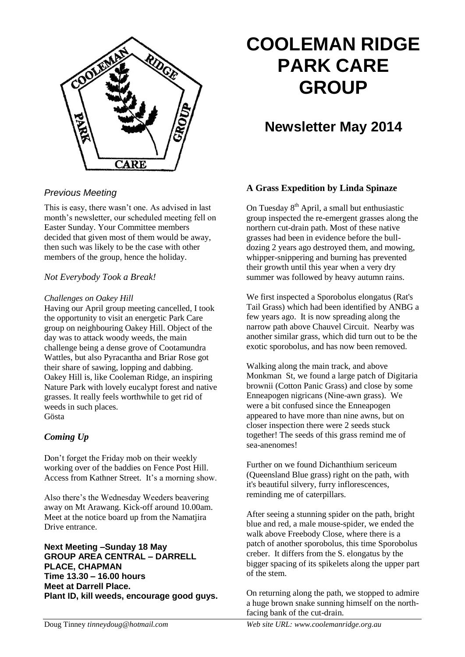

### *Previous Meeting*

This is easy, there wasn't one. As advised in last month's newsletter, our scheduled meeting fell on Easter Sunday. Your Committee members decided that given most of them would be away, then such was likely to be the case with other members of the group, hence the holiday.

### *Not Everybody Took a Break!*

#### *Challenges on Oakey Hill*

Having our April group meeting cancelled, I took the opportunity to visit an energetic Park Care group on neighbouring Oakey Hill. Object of the day was to attack woody weeds, the main challenge being a dense grove of Cootamundra Wattles, but also Pyracantha and Briar Rose got their share of sawing, lopping and dabbing. Oakey Hill is, like Cooleman Ridge, an inspiring Nature Park with lovely eucalypt forest and native grasses. It really feels worthwhile to get rid of weeds in such places. Gösta

### *Coming Up*

Don't forget the Friday mob on their weekly working over of the baddies on Fence Post Hill. Access from Kathner Street. It's a morning show.

Also there's the Wednesday Weeders beavering away on Mt Arawang. Kick-off around 10.00am. Meet at the notice board up from the Namatjira Drive entrance.

**Next Meeting –Sunday 18 May GROUP AREA CENTRAL – DARRELL PLACE, CHAPMAN Time 13.30 – 16.00 hours Meet at Darrell Place. Plant ID, kill weeds, encourage good guys.**

# **COOLEMAN RIDGE PARK CARE GROUP**

## **Newsletter May 2014**

### **A Grass Expedition by Linda Spinaze**

On Tuesday  $8<sup>th</sup>$  April, a small but enthusiastic group inspected the re-emergent grasses along the northern cut-drain path. Most of these native grasses had been in evidence before the bulldozing 2 years ago destroyed them, and mowing, whipper-snippering and burning has prevented their growth until this year when a very dry summer was followed by heavy autumn rains.

We first inspected a Sporobolus elongatus (Rat's Tail Grass) which had been identified by ANBG a few years ago. It is now spreading along the narrow path above Chauvel Circuit. Nearby was another similar grass, which did turn out to be the exotic sporobolus, and has now been removed.

Walking along the main track, and above Monkman St, we found a large patch of Digitaria brownii (Cotton Panic Grass) and close by some Enneapogen nigricans (Nine-awn grass). We were a bit confused since the Enneapogen appeared to have more than nine awns, but on closer inspection there were 2 seeds stuck together! The seeds of this grass remind me of sea-anenomes!

Further on we found Dichanthium sericeum (Queensland Blue grass) right on the path, with it's beautiful silvery, furry inflorescences, reminding me of caterpillars.

After seeing a stunning spider on the path, bright blue and red, a male mouse-spider, we ended the walk above Freebody Close, where there is a patch of another sporobolus, this time Sporobolus creber. It differs from the S. elongatus by the bigger spacing of its spikelets along the upper part of the stem.

On returning along the path, we stopped to admire a huge brown snake sunning himself on the northfacing bank of the cut-drain.